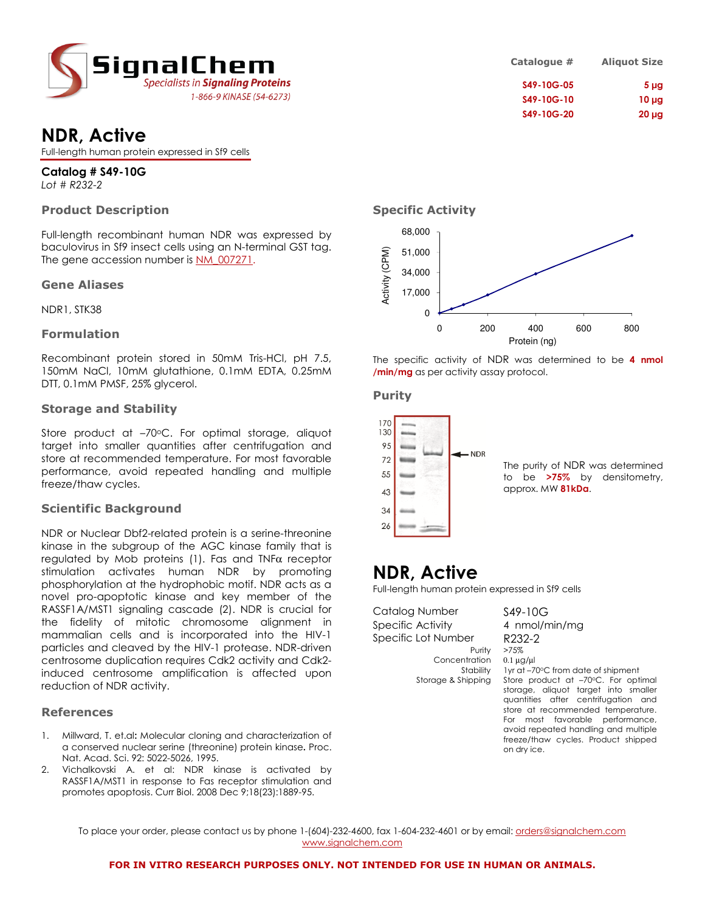

# NDR, Active

Full-length human protein expressed in Sf9 cells

Catalog # S49-10G Lot # R232-2

## Product Description

Full-length recombinant human NDR was expressed by baculovirus in Sf9 insect cells using an N-terminal GST tag. The gene accession number is NM\_007271.

### Gene Aliases

NDR1, STK38

### Formulation

Recombinant protein stored in 50mM Tris-HCl, pH 7.5, 150mM NaCl, 10mM glutathione, 0.1mM EDTA, 0.25mM DTT, 0.1mM PMSF, 25% glycerol.

### Storage and Stability

Store product at -70°C. For optimal storage, aliquot target into smaller quantities after centrifugation and store at recommended temperature. For most favorable performance, avoid repeated handling and multiple freeze/thaw cycles.

# Scientific Background

NDR or Nuclear Dbf2-related protein is a serine-threonine kinase in the subgroup of the AGC kinase family that is regulated by Mob proteins (1). Fas and TNFα receptor stimulation activates human NDR by promoting phosphorylation at the hydrophobic motif. NDR acts as a novel pro-apoptotic kinase and key member of the RASSF1A/MST1 signaling cascade (2). NDR is crucial for the fidelity of mitotic chromosome alignment in mammalian cells and is incorporated into the HIV-1 particles and cleaved by the HIV-1 protease. NDR-driven centrosome duplication requires Cdk2 activity and Cdk2 induced centrosome amplification is affected upon reduction of NDR activity.

# References

- 1. Millward, T. et.al: Molecular cloning and characterization of a conserved nuclear serine (threonine) protein kinase. Proc. Nat. Acad. Sci. 92: 5022-5026, 1995.
- 2. Vichalkovski A. et al: NDR kinase is activated by RASSF1A/MST1 in response to Fas receptor stimulation and promotes apoptosis. Curr Biol. 2008 Dec 9;18(23):1889-95.

| Catalogue # | <b>Aliquot Size</b> |
|-------------|---------------------|
| S49-10G-05  | 5 <sub>µq</sub>     |
| S49-10G-10  | $10 \mu g$          |
| S49-10G-20  | $20 \mu g$          |



The specific activity of NDR was determined to be 4 nmol /min/mg as per activity assay protocol.

### Purity



# NDR, Active

Full-length human protein expressed in Sf9 cells

Catalog Number S49-10G Specific Activity 4 nmol/min/mg Specific Lot Number R232-2 Purity

Concentration 0.1 µg/µl

Stability 1yr at –70°C from date of shipment Storage & Shipping Store product at -70°C. For optimal storage, aliquot target into smaller quantities after centrifugation and store at recommended temperature. For most favorable performance, avoid repeated handling and multiple freeze/thaw cycles. Product shipped on dry ice.

To place your order, please contact us by phone 1-(604)-232-4600, fax 1-604-232-4601 or by email: orders@signalchem.com www.signalchem.com